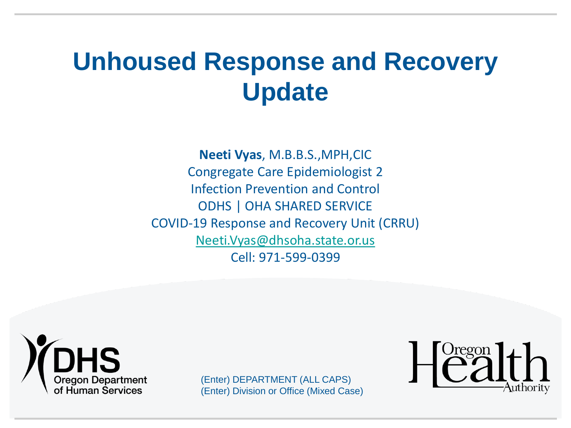# **Unhoused Response and Recovery Update**

**Neeti Vyas**, M.B.B.S.,MPH,CIC Congregate Care Epidemiologist 2 Infection Prevention and Control ODHS | OHA SHARED SERVICE COVID-19 Response and Recovery Unit (CRRU) [Neeti.Vyas@dhsoha.state.or.us](mailto:Neeti.Vyas@dhsoha.state.or.us) Cell: 971-599-0399



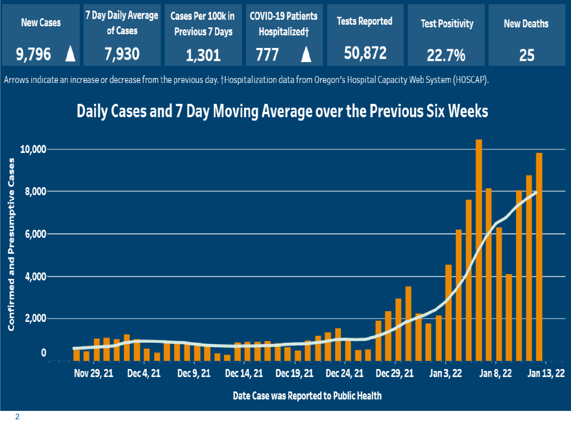| <b>New Cases</b>         | 7 Day Daily Average Cases Per 100k in COVID-19 Patients<br>of Cases | <b>Previous 7 Days</b> | <b>Hospitalized</b> | <b>Tests Reported</b> | Test Positivity | New Deaths |
|--------------------------|---------------------------------------------------------------------|------------------------|---------------------|-----------------------|-----------------|------------|
| $9,796$ $\blacktriangle$ | 7.930                                                               | 1,301                  | 777                 | 50,872                | $22.7\%$        | <b>25</b>  |

Arrows indicate an increase or decrease from the previous day. †Hospitalization data from Oregon's Hospital Capacity Web System (HOSCAP).

#### Daily Cases and 7 Day Moving Average over the Previous Six Weeks

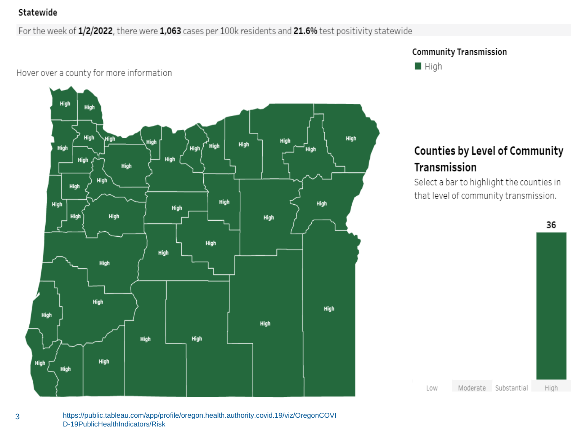#### Statewide

For the week of 1/2/2022, there were 1,063 cases per 100k residents and 21.6% test positivity statewide

#### Hover over a county for more information







#### Counties by Level of Community Transmission

Select a bar to highlight the counties in that level of community transmission.

Moderate Substantial

Low

36

High

3 https://public.tableau.com/app/profile/oregon.health.authority.covid.19/viz/OregonCOVI D-19PublicHealthIndicators/Risk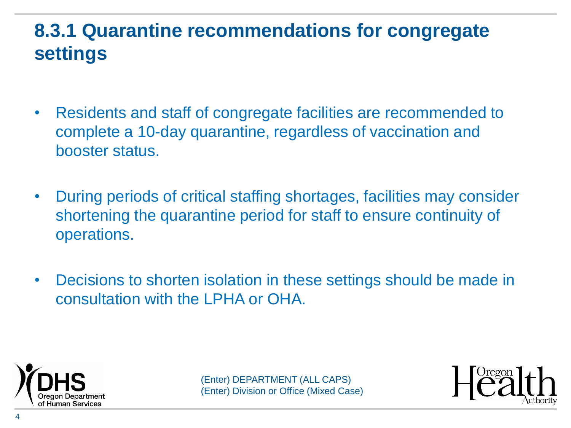#### **8.3.1 Quarantine recommendations for congregate settings**

- Residents and staff of congregate facilities are recommended to complete a 10-day quarantine, regardless of vaccination and booster status.
- During periods of critical staffing shortages, facilities may consider shortening the quarantine period for staff to ensure continuity of operations.
- Decisions to shorten isolation in these settings should be made in consultation with the LPHA or OHA.



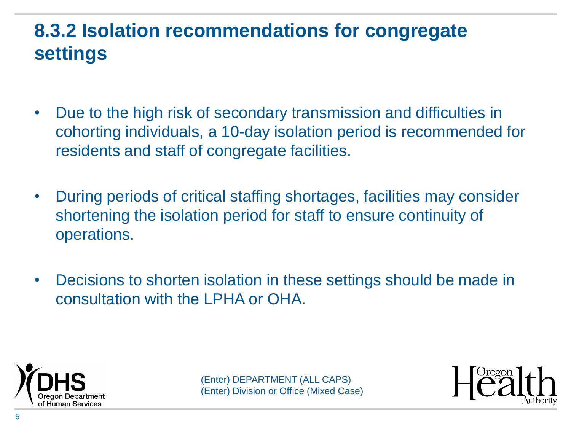## **8.3.2 Isolation recommendations for congregate settings**

- Due to the high risk of secondary transmission and difficulties in cohorting individuals, a 10-day isolation period is recommended for residents and staff of congregate facilities.
- During periods of critical staffing shortages, facilities may consider shortening the isolation period for staff to ensure continuity of operations.
- Decisions to shorten isolation in these settings should be made in consultation with the LPHA or OHA.



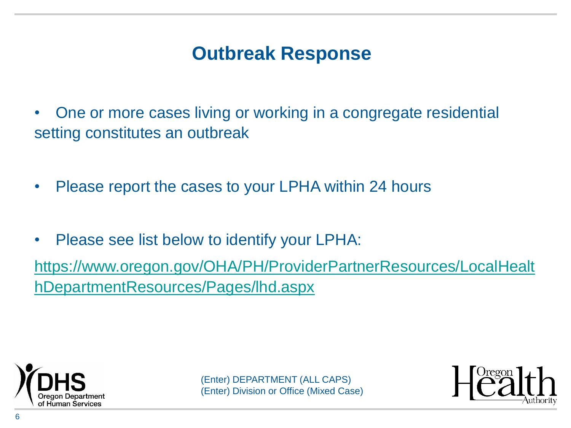#### **Outbreak Response**

• One or more cases living or working in a congregate residential setting constitutes an outbreak

- Please report the cases to your LPHA within 24 hours
- Please see list below to identify your LPHA:

[https://www.oregon.gov/OHA/PH/ProviderPartnerResources/LocalHealt](https://www.oregon.gov/OHA/PH/ProviderPartnerResources/LocalHealthDepartmentResources/Pages/lhd.aspx) hDepartmentResources/Pages/lhd.aspx



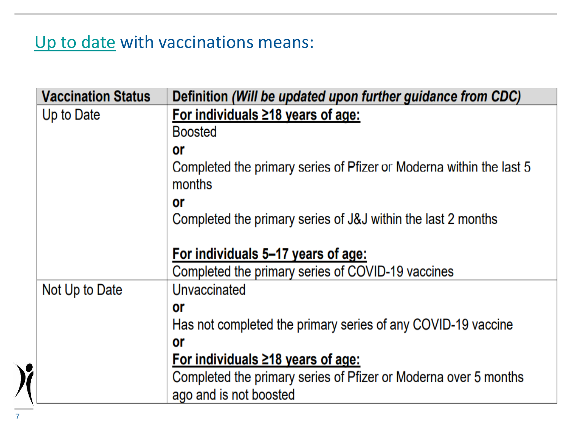#### [Up to date](https://www.oregon.gov/oha/PH/DISEASESCONDITIONS/COMMUNICABLEDISEASE/REPORTINGCOMMUNICABLEDISEASE/REPORTINGGUIDELINES/Documents/Novel-Coronavirus-2019.pdf) with vaccinations means:

| <b>Vaccination Status</b> | Definition (Will be updated upon further guidance from CDC)                   |  |  |  |  |
|---------------------------|-------------------------------------------------------------------------------|--|--|--|--|
| Up to Date                | For individuals $\geq$ 18 years of age:                                       |  |  |  |  |
|                           | <b>Boosted</b>                                                                |  |  |  |  |
|                           | or                                                                            |  |  |  |  |
|                           | Completed the primary series of Pfizer or Moderna within the last 5<br>months |  |  |  |  |
|                           | or                                                                            |  |  |  |  |
|                           | Completed the primary series of J&J within the last 2 months                  |  |  |  |  |
|                           |                                                                               |  |  |  |  |
|                           | For individuals 5-17 years of age:                                            |  |  |  |  |
|                           | Completed the primary series of COVID-19 vaccines                             |  |  |  |  |
| Not Up to Date            | Unvaccinated                                                                  |  |  |  |  |
|                           | or                                                                            |  |  |  |  |
|                           | Has not completed the primary series of any COVID-19 vaccine                  |  |  |  |  |
|                           | or                                                                            |  |  |  |  |
|                           | For individuals $\geq$ 18 years of age:                                       |  |  |  |  |
|                           | Completed the primary series of Pfizer or Moderna over 5 months               |  |  |  |  |
|                           | ago and is not boosted                                                        |  |  |  |  |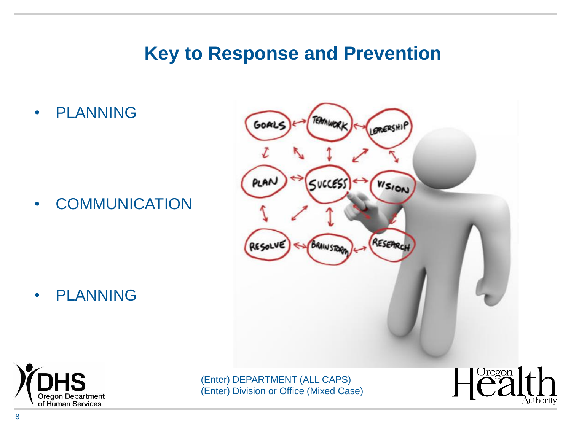#### **Key to Response and Prevention**

• PLANNING

• COMMUNICATION

• PLANNING





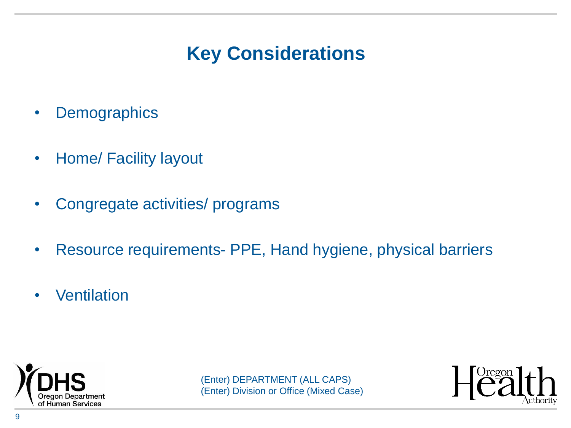## **Key Considerations**

- Demographics
- Home/ Facility layout
- Congregate activities/ programs
- Resource requirements- PPE, Hand hygiene, physical barriers
- Ventilation



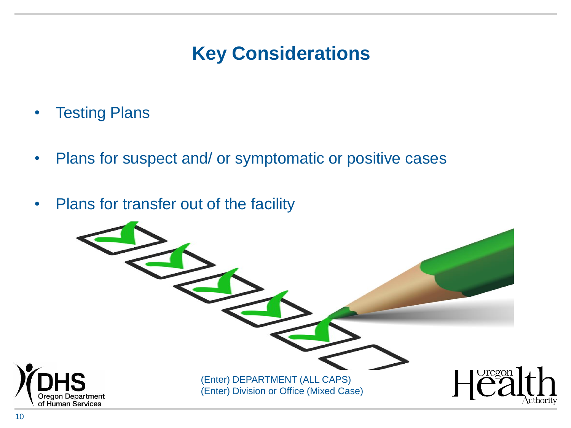#### **Key Considerations**

- Testing Plans
- Plans for suspect and/ or symptomatic or positive cases
- Plans for transfer out of the facility